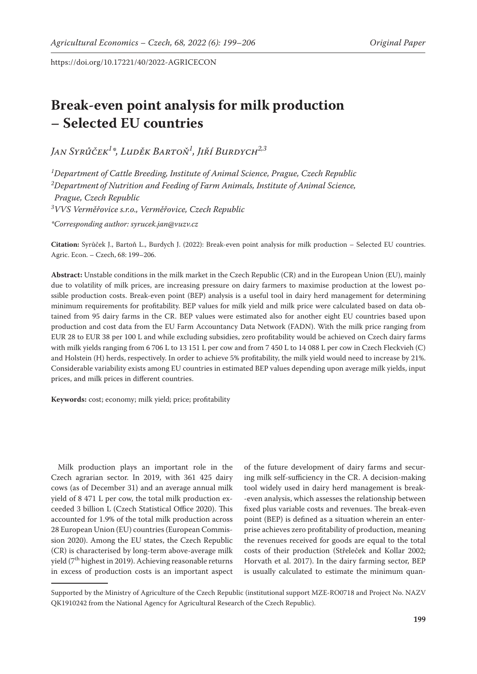# **Break-even point analysis for milk production – Selected EU countries**

*Jan Syrůček1 \*, Luděk Bartoň1 , Jiří Burdych2,3*

 *Department of Cattle Breeding, Institute of Animal Science, Prague, Czech Republic Department of Nutrition and Feeding of Farm Animals, Institute of Animal Science, Prague, Czech Republic VVS Verměřovice s.r.o., Verměřovice, Czech Republic*

*\*Corresponding author: syrucek.jan@vuzv.cz*

**Citation:** Syrůček J., Bartoň L., Burdych J. (2022): Break-even point analysis for milk production – Selected EU countries. Agric. Econ. – Czech, 68: 199–206.

**Abstract:** Unstable conditions in the milk market in the Czech Republic (CR) and in the European Union (EU), mainly due to volatility of milk prices, are increasing pressure on dairy farmers to maximise production at the lowest possible production costs. Break-even point (BEP) analysis is a useful tool in dairy herd management for determining minimum requirements for profitability. BEP values for milk yield and milk price were calculated based on data obtained from 95 dairy farms in the CR. BEP values were estimated also for another eight EU countries based upon production and cost data from the EU Farm Accountancy Data Network (FADN). With the milk price ranging from EUR 28 to EUR 38 per 100 L and while excluding subsidies, zero profitability would be achieved on Czech dairy farms with milk yields ranging from 6 706 L to 13 151 L per cow and from 7 450 L to 14 088 L per cow in Czech Fleckvieh (C) and Holstein (H) herds, respectively. In order to achieve 5% profitability, the milk yield would need to increase by 21%. Considerable variability exists among EU countries in estimated BEP values depending upon average milk yields, input prices, and milk prices in different countries.

**Keywords:** cost; economy; milk yield; price; profitability

Milk production plays an important role in the Czech agrarian sector. In 2019, with 361 425 dairy cows (as of December 31) and an average annual milk yield of 8 471 L per cow, the total milk production exceeded 3 billion L (Czech Statistical Office 2020). This accounted for 1.9% of the total milk production across 28 European Union (EU) countries (European Commission 2020). Among the EU states, the Czech Republic (CR) is characterised by long-term above-average milk yield (7<sup>th</sup> highest in 2019). Achieving reasonable returns in excess of production costs is an important aspect

of the future development of dairy farms and securing milk self-sufficiency in the CR. A decision-making tool widely used in dairy herd management is break- -even analysis, which assesses the relationship between fixed plus variable costs and revenues. The break-even point (BEP) is defined as a situation wherein an enterprise achieves zero profitability of production, meaning the revenues received for goods are equal to the total costs of their production (Střeleček and Kollar 2002; Horvath et al. 2017). In the dairy farming sector, BEP is usually calculated to estimate the minimum quan-

Supported by the Ministry of Agriculture of the Czech Republic (institutional support MZE-RO0718 and Project No. NAZV QK1910242 from the National Agency for Agricultural Research of the Czech Republic).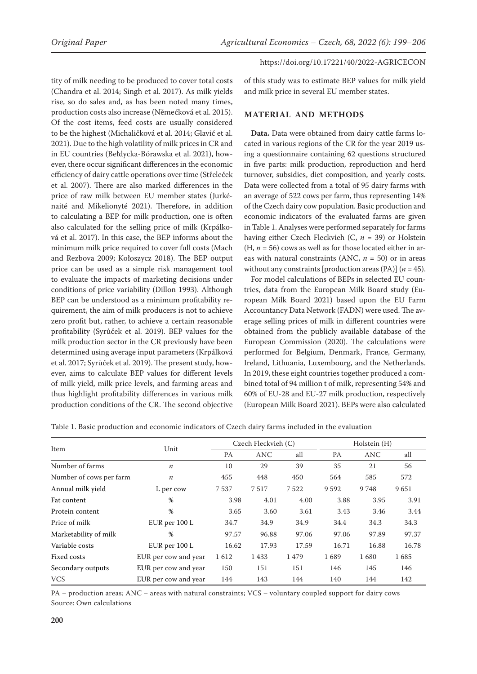tity of milk needing to be produced to cover total costs (Chandra et al. 2014; Singh et al. 2017). As milk yields rise, so do sales and, as has been noted many times, production costs also increase (Němečková et al. 2015). Of the cost items, feed costs are usually considered to be the highest (Michaličková et al. 2014; Glavić et al. 2021). Due to the high volatility of milk prices in CR and in EU countries (Bełdycka-Bórawska et al. 2021), however, there occur significant differences in the economic efficiency of dairy cattle operations over time (Střeleček et al. 2007). There are also marked differences in the price of raw milk between EU member states (Jurkénaité and Mikelionyté 2021). Therefore, in addition to calculating a BEP for milk production, one is often also calculated for the selling price of milk (Krpálková et al. 2017). In this case, the BEP informs about the minimum milk price required to cover full costs (Mach and Rezbova 2009; Kołoszycz 2018). The BEP output price can be used as a simple risk management tool to evaluate the impacts of marketing decisions under conditions of price variability (Dillon 1993). Although BEP can be understood as a minimum profitability requirement, the aim of milk producers is not to achieve zero profit but, rather, to achieve a certain reasonable profitability (Syrůček et al. 2019). BEP values for the milk production sector in the CR previously have been determined using average input parameters (Krpálková et al. 2017; Syrůček et al. 2019). The present study, however, aims to calculate BEP values for different levels of milk yield, milk price levels, and farming areas and thus highlight profitability differences in various milk production conditions of the CR. The second objective

## https://doi.org/10.17221/40/2022-AGRICECON

of this study was to estimate BEP values for milk yield and milk price in several EU member states.

#### **MATERIAL AND METHODS**

**Data.** Data were obtained from dairy cattle farms located in various regions of the CR for the year 2019 using a questionnaire containing 62 questions structured in five parts: milk production, reproduction and herd turnover, subsidies, diet composition, and yearly costs. Data were collected from a total of 95 dairy farms with an average of 522 cows per farm, thus representing 14% of the Czech dairy cow population. Basic production and economic indicators of the evaluated farms are given in Table 1. Analyses were performed separately for farms having either Czech Fleckvieh (C, *n* = 39) or Holstein  $(H, n = 56)$  cows as well as for those located either in areas with natural constraints (ANC, *n* = 50) or in areas without any constraints [production areas (PA)] (*n* = 45).

For model calculations of BEPs in selected EU countries, data from the European Milk Board study (European Milk Board 2021) based upon the EU Farm Accountancy Data Network (FADN) were used. The average selling prices of milk in different countries were obtained from the publicly available database of the European Commission (2020). The calculations were performed for Belgium, Denmark, France, Germany, Ireland, Lithuania, Luxembourg, and the Netherlands. In 2019, these eight countries together produced a combined total of 94 million t of milk, representing 54% and 60% of EU-28 and EU-27 milk production, respectively (European Milk Board 2021). BEPs were also calculated

Table 1. Basic production and economic indicators of Czech dairy farms included in the evaluation

|                         |                      | Czech Fleckvieh (C) |            |       | Holstein (H) |            |       |
|-------------------------|----------------------|---------------------|------------|-------|--------------|------------|-------|
| Item                    | Unit                 | <b>PA</b>           | <b>ANC</b> | all   | <b>PA</b>    | <b>ANC</b> | all   |
| Number of farms         | $\boldsymbol{n}$     | 10                  | 29         | 39    | 35           | 21         | 56    |
| Number of cows per farm | $\boldsymbol{n}$     | 455                 | 448        | 450   | 564          | 585        | 572   |
| Annual milk yield       | L per cow            | 7537                | 7517       | 7522  | 9592         | 9748       | 9651  |
| Fat content             | %                    | 3.98                | 4.01       | 4.00  | 3.88         | 3.95       | 3.91  |
| Protein content         | %                    | 3.65                | 3.60       | 3.61  | 3.43         | 3.46       | 3.44  |
| Price of milk           | EUR per 100 L        | 34.7                | 34.9       | 34.9  | 34.4         | 34.3       | 34.3  |
| Marketability of milk   | %                    | 97.57               | 96.88      | 97.06 | 97.06        | 97.89      | 97.37 |
| Variable costs          | EUR per 100 L        | 16.62               | 17.93      | 17.59 | 16.71        | 16.88      | 16.78 |
| Fixed costs             | EUR per cow and year | 1612                | 1433       | 1479  | 1689         | 1680       | 1685  |
| Secondary outputs       | EUR per cow and year | 150                 | 151        | 151   | 146          | 145        | 146   |
| <b>VCS</b>              | EUR per cow and year | 144                 | 143        | 144   | 140          | 144        | 142   |

PA – production areas; ANC – areas with natural constraints; VCS – voluntary coupled support for dairy cows Source: Own calculations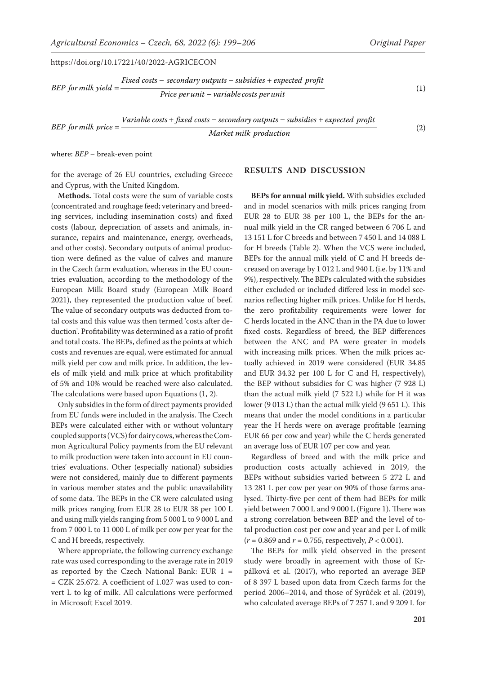*Variable costs + fixed costs – secondary outputs – subsidies + expected profit Market milk production* (2)

where: *BEP* – break-even point

for the average of 26 EU countries, excluding Greece and Cyprus, with the United Kingdom.

**Methods.** Total costs were the sum of variable costs (concentrated and roughage feed; veterinary and breeding services, including insemination costs) and fixed costs (labour, depreciation of assets and animals, insurance, repairs and maintenance, energy, overheads, and other costs). Secondary outputs of animal production were defined as the value of calves and manure in the Czech farm evaluation, whereas in the EU countries evaluation, according to the methodology of the European Milk Board study (European Milk Board 2021), they represented the production value of beef. The value of secondary outputs was deducted from total costs and this value was then termed 'costs after deduction'. Profitability was determined as a ratio of profit and total costs. The BEPs, defined as the points at which costs and revenues are equal, were estimated for annual milk yield per cow and milk price. In addition, the levels of milk yield and milk price at which profitability of 5% and 10% would be reached were also calculated. The calculations were based upon Equations (1, 2).

Only subsidies in the form of direct payments provided from EU funds were included in the analysis. The Czech BEPs were calculated either with or without voluntary coupled supports (VCS) for dairy cows, whereas the Common Agricultural Policy payments from the EU relevant to milk production were taken into account in EU countries' evaluations. Other (especially national) subsidies were not considered, mainly due to different payments in various member states and the public unavailability of some data. The BEPs in the CR were calculated using milk prices ranging from EUR 28 to EUR 38 per 100 L and using milk yields ranging from 5 000 L to 9 000 L and from 7 000 L to 11 000 L of milk per cow per year for the C and H breeds, respectively.

Where appropriate, the following currency exchange rate was used corresponding to the average rate in 2019 as reported by the Czech National Bank: EUR  $1 =$ = CZK 25.672. A coefficient of 1.027 was used to convert L to kg of milk. All calculations were performed in Microsoft Excel 2019.

# **RESULTS AND DISCUSSION**

**BEPs for annual milk yield.** With subsidies excluded and in model scenarios with milk prices ranging from EUR 28 to EUR 38 per 100 L, the BEPs for the annual milk yield in the CR ranged between 6 706 L and 13 151 L for C breeds and between 7 450 L and 14 088 L for H breeds (Table 2). When the VCS were included, BEPs for the annual milk yield of C and H breeds decreased on average by 1 012 L and 940 L (i.e. by 11% and 9%), respectively. The BEPs calculated with the subsidies either excluded or included differed less in model scenarios reflecting higher milk prices. Unlike for H herds, the zero profitability requirements were lower for C herds located in the ANC than in the PA due to lower fixed costs. Regardless of breed, the BEP differences between the ANC and PA were greater in models with increasing milk prices. When the milk prices actually achieved in 2019 were considered (EUR 34.85 and EUR 34.32 per 100 L for C and H, respectively), the BEP without subsidies for C was higher (7 928 L) than the actual milk yield (7 522 L) while for H it was lower (9 013 L) than the actual milk yield (9 651 L). This means that under the model conditions in a particular year the H herds were on average profitable (earning EUR 66 per cow and year) while the C herds generated an average loss of EUR 107 per cow and year.

Regardless of breed and with the milk price and production costs actually achieved in 2019, the BEPs without subsidies varied between 5 272 L and 13 281 L per cow per year on 90% of those farms analysed. Thirty-five per cent of them had BEPs for milk yield between 7 000 L and 9 000 L (Figure 1). There was a strong correlation between BEP and the level of total production cost per cow and year and per L of milk  $(r = 0.869$  and  $r = 0.755$ , respectively,  $P < 0.001$ ).

The BEPs for milk yield observed in the present study were broadly in agreement with those of Krpálková et al. (2017), who reported an average BEP of 8 397 L based upon data from Czech farms for the period 2006–2014, and those of Syrůček et al. (2019), who calculated average BEPs of 7 257 L and 9 209 L for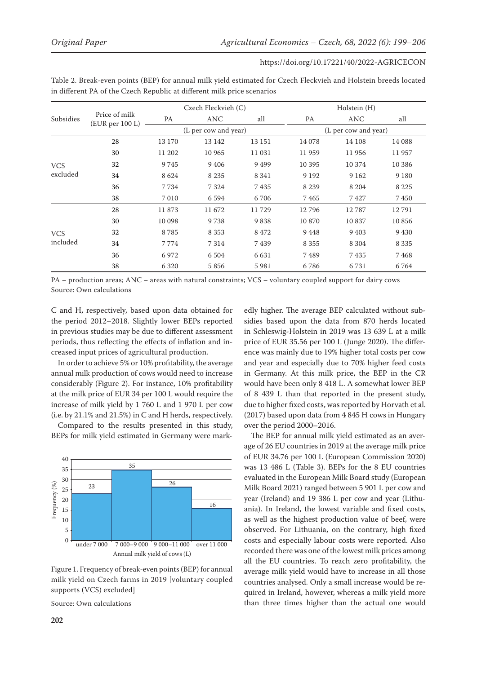| https://doi.org/10.17221/40/2022-AGRICECON |  |
|--------------------------------------------|--|
|--------------------------------------------|--|

|                        | Price of milk<br>(EUR per 100 L) |                      | Czech Fleckvieh (C) |         | Holstein (H)         |         |         |
|------------------------|----------------------------------|----------------------|---------------------|---------|----------------------|---------|---------|
| Subsidies              |                                  | PA                   | <b>ANC</b>          | all     | PA                   | ANC     | all     |
|                        |                                  | (L per cow and year) |                     |         | (L per cow and year) |         |         |
| <b>VCS</b><br>excluded | 28                               | 13 170               | 13 142              | 13 15 1 | 14 078               | 14 108  | 14 088  |
|                        | 30                               | 11 202               | 10 965              | 11 031  | 11959                | 11956   | 11 957  |
|                        | 32                               | 9 7 4 5              | 9 4 0 6             | 9499    | 10 3 9 5             | 10 374  | 10 386  |
|                        | 34                               | 8624                 | 8 2 3 5             | 8 3 4 1 | 9 1 9 2              | 9 1 6 2 | 9 1 8 0 |
|                        | 36                               | 7 7 3 4              | 7 3 2 4             | 7435    | 8 2 3 9              | 8 2 0 4 | 8 2 2 5 |
|                        | 38                               | 7 0 1 0              | 6594                | 6706    | 7465                 | 7427    | 7450    |
| <b>VCS</b><br>included | 28                               | 11873                | 11 672              | 11729   | 12796                | 12787   | 12791   |
|                        | 30                               | 10 098               | 9738                | 9838    | 10 870               | 10837   | 10856   |
|                        | 32                               | 8785                 | 8 3 5 3             | 8472    | 9448                 | 9 4 0 3 | 9 4 3 0 |
|                        | 34                               | 7774                 | 7314                | 7439    | 8 3 5 5              | 8 3 0 4 | 8 3 3 5 |
|                        | 36                               | 6972                 | 6 5 0 4             | 6 6 3 1 | 7489                 | 7435    | 7468    |
|                        | 38                               | 6 3 2 0              | 5856                | 5981    | 6786                 | 6731    | 6764    |

Table 2. Break-even points (BEP) for annual milk yield estimated for Czech Fleckvieh and Holstein breeds located in different PA of the Czech Republic at different milk price scenarios

PA – production areas; ANC – areas with natural constraints; VCS – voluntary coupled support for dairy cows Source: Own calculations

C and H, respectively, based upon data obtained for the period 2012–2018. Slightly lower BEPs reported in previous studies may be due to different assessment periods, thus reflecting the effects of inflation and increased input prices of agricultural production.

In order to achieve 5% or 10% profitability, the average annual milk production of cows would need to increase considerably (Figure 2). For instance, 10% profitability at the milk price of EUR 34 per 100 L would require the increase of milk yield by 1 760 L and 1 970 L per cow (i.e. by 21.1% and 21.5%) in C and H herds, respectively.

Compared to the results presented in this study, BEPs for milk yield estimated in Germany were mark-



Figure 1. Frequency of break-even points (BEP) for annual milk yield on Czech farms in 2019 [voluntary coupled supports (VCS) excluded]

Source: Own calculations

edly higher. The average BEP calculated without subsidies based upon the data from 870 herds located in Schleswig-Holstein in 2019 was 13 639 L at a milk price of EUR 35.56 per 100 L (Junge 2020). The difference was mainly due to 19% higher total costs per cow and year and especially due to 70% higher feed costs in Germany. At this milk price, the BEP in the CR would have been only 8 418 L. A somewhat lower BEP of 8 439 L than that reported in the present study, due to higher fixed costs, was reported by Horvath et al. (2017) based upon data from 4 845 H cows in Hungary over the period 2000–2016.

The BEP for annual milk yield estimated as an average of 26 EU countries in 2019 at the average milk price of EUR 34.76 per 100 L (European Commission 2020) was 13 486 L (Table 3). BEPs for the 8 EU countries evaluated in the European Milk Board study (European Milk Board 2021) ranged between 5 901 L per cow and year (Ireland) and 19 386 L per cow and year (Lithuania). In Ireland, the lowest variable and fixed costs, as well as the highest production value of beef, were observed. For Lithuania, on the contrary, high fixed costs and especially labour costs were reported. Also recorded there was one of the lowest milk prices among all the EU countries. To reach zero profitability, the average milk yield would have to increase in all those countries analysed. Only a small increase would be required in Ireland, however, whereas a milk yield more than three times higher than the actual one would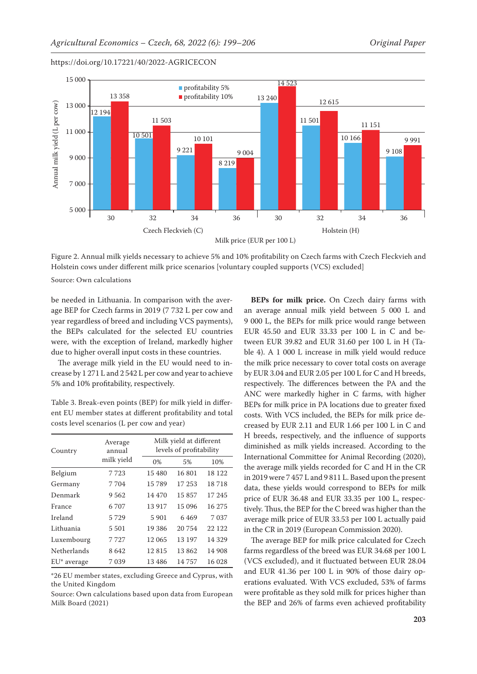

Figure 2. Annual milk yields necessary to achieve 5% and 10% profitability on Czech farms with Czech Fleckvieh and Holstein cows under different milk price scenarios [voluntary coupled supports (VCS) excluded]

Source: Own calculations

be needed in Lithuania. In comparison with the average BEP for Czech farms in 2019 (7 732 L per cow and year regardless of breed and including VCS payments), the BEPs calculated for the selected EU countries were, with the exception of Ireland, markedly higher due to higher overall input costs in these countries.

The average milk yield in the EU would need to increase by 1 271 L and 2 542 L per cow and year to achieve 5% and 10% profitability, respectively.

Table 3. Break-even points (BEP) for milk yield in different EU member states at different profitability and total costs level scenarios (L per cow and year)

| Country                 | Average<br>annual | Milk yield at different<br>levels of profitability |        |         |  |  |
|-------------------------|-------------------|----------------------------------------------------|--------|---------|--|--|
|                         | milk yield        | 0%                                                 | 5%     | 10%     |  |  |
| Belgium                 | 7723              | 15 480                                             | 16801  | 18 122  |  |  |
| Germany                 | 7704              | 15789                                              | 17 253 | 18718   |  |  |
| Denmark                 | 9562              | 14 470                                             | 15857  | 17 245  |  |  |
| France                  | 6707              | 13 917                                             | 15 096 | 16 275  |  |  |
| Ireland                 | 5729              | 5 9 0 1                                            | 6469   | 7 0 3 7 |  |  |
| Lithuania               | 5 501             | 19 386                                             | 20 754 | 22 1 22 |  |  |
| Luxembourg              | 7727              | 12 065                                             | 13 197 | 14 3 29 |  |  |
| Netherlands             | 8642              | 12815                                              | 13862  | 14 908  |  |  |
| EU <sup>*</sup> average | 7039              | 13486                                              | 14757  | 16 028  |  |  |

\*26 EU member states, excluding Greece and Cyprus, with the United Kingdom

Source: Own calculations based upon data from European Milk Board (2021)

**BEPs for milk price.** On Czech dairy farms with an average annual milk yield between 5 000 L and 9 000 L, the BEPs for milk price would range between EUR 45.50 and EUR 33.33 per 100 L in C and between EUR 39.82 and EUR 31.60 per 100 L in H (Table 4). A 1 000 L increase in milk yield would reduce the milk price necessary to cover total costs on average by EUR 3.04 and EUR 2.05 per 100 L for C and H breeds, respectively. The differences between the PA and the ANC were markedly higher in C farms, with higher BEPs for milk price in PA locations due to greater fixed costs. With VCS included, the BEPs for milk price decreased by EUR 2.11 and EUR 1.66 per 100 L in C and H breeds, respectively, and the influence of supports diminished as milk yields increased. According to the International Committee for Animal Recording (2020), the average milk yields recorded for C and H in the CR in 2019 were 7 457 L and 9 811 L. Based upon the present data, these yields would correspond to BEPs for milk price of EUR 36.48 and EUR 33.35 per 100 L, respectively. Thus, the BEP for the C breed was higher than the average milk price of EUR 33.53 per 100 L actually paid in the CR in 2019 (European Commission 2020).

The average BEP for milk price calculated for Czech farms regardless of the breed was EUR 34.68 per 100 L (VCS excluded), and it fluctuated between EUR 28.04 and EUR 41.36 per 100 L in 90% of those dairy operations evaluated. With VCS excluded, 53% of farms were profitable as they sold milk for prices higher than the BEP and 26% of farms even achieved profitability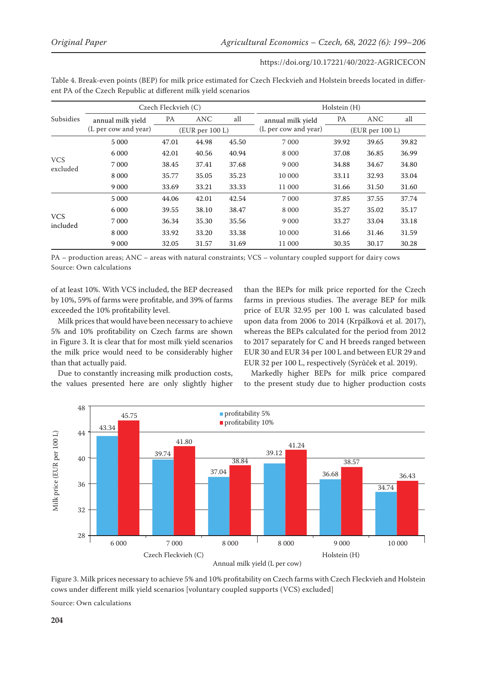|                        | Czech Fleckvieh (C)                       |                 |            | Holstein (H)         |                   |           |            |       |
|------------------------|-------------------------------------------|-----------------|------------|----------------------|-------------------|-----------|------------|-------|
| Subsidies              | annual milk yield<br>(L per cow and year) | PA              | <b>ANC</b> | all                  | annual milk yield | <b>PA</b> | <b>ANC</b> | all   |
|                        |                                           | (EUR per 100 L) |            | (L per cow and year) | (EUR per 100 L)   |           |            |       |
| <b>VCS</b><br>excluded | 5 0 0 0                                   | 47.01           | 44.98      | 45.50                | 7 0 0 0           | 39.92     | 39.65      | 39.82 |
|                        | 6 0 0 0                                   | 42.01           | 40.56      | 40.94                | 8 0 0 0           | 37.08     | 36.85      | 36.99 |
|                        | 7 000                                     | 38.45           | 37.41      | 37.68                | 9 0 0 0           | 34.88     | 34.67      | 34.80 |
|                        | 8 0 0 0                                   | 35.77           | 35.05      | 35.23                | 10 000            | 33.11     | 32.93      | 33.04 |
|                        | 9 0 0 0                                   | 33.69           | 33.21      | 33.33                | 11 000            | 31.66     | 31.50      | 31.60 |
| <b>VCS</b><br>included | 5 0 0 0                                   | 44.06           | 42.01      | 42.54                | 7 0 0 0           | 37.85     | 37.55      | 37.74 |
|                        | 6 0 0 0                                   | 39.55           | 38.10      | 38.47                | 8 0 0 0           | 35.27     | 35.02      | 35.17 |
|                        | 7 0 0 0                                   | 36.34           | 35.30      | 35.56                | 9 0 0 0           | 33.27     | 33.04      | 33.18 |
|                        | 8 0 0 0                                   | 33.92           | 33.20      | 33.38                | 10 000            | 31.66     | 31.46      | 31.59 |
|                        | 9 0 0 0                                   | 32.05           | 31.57      | 31.69                | 11 000            | 30.35     | 30.17      | 30.28 |

Table 4. Break-even points (BEP) for milk price estimated for Czech Fleckvieh and Holstein breeds located in different PA of the Czech Republic at different milk yield scenarios

PA – production areas; ANC – areas with natural constraints; VCS – voluntary coupled support for dairy cows Source: Own calculations

of at least 10%. With VCS included, the BEP decreased by 10%, 59% of farms were profitable, and 39% of farms exceeded the 10% profitability level.

Milk prices that would have been necessary to achieve 5% and 10% profitability on Czech farms are shown in Figure 3. It is clear that for most milk yield scenarios the milk price would need to be considerably higher than that actually paid.

Due to constantly increasing milk production costs, the values presented here are only slightly higher

than the BEPs for milk price reported for the Czech farms in previous studies. The average BEP for milk price of EUR 32.95 per 100 L was calculated based upon data from 2006 to 2014 (Krpálková et al. 2017), whereas the BEPs calculated for the period from 2012 to 2017 separately for C and H breeds ranged between EUR 30 and EUR 34 per 100 L and between EUR 29 and EUR 32 per 100 L, respectively (Syrůček et al. 2019).

Markedly higher BEPs for milk price compared to the present study due to higher production costs



Annual milk yield (L per cow)

Figure 3. Milk prices necessary to achieve 5% and 10% profitability on Czech farms with Czech Fleckvieh and Holstein cows under different milk yield scenarios [voluntary coupled supports (VCS) excluded]

Source: Own calculations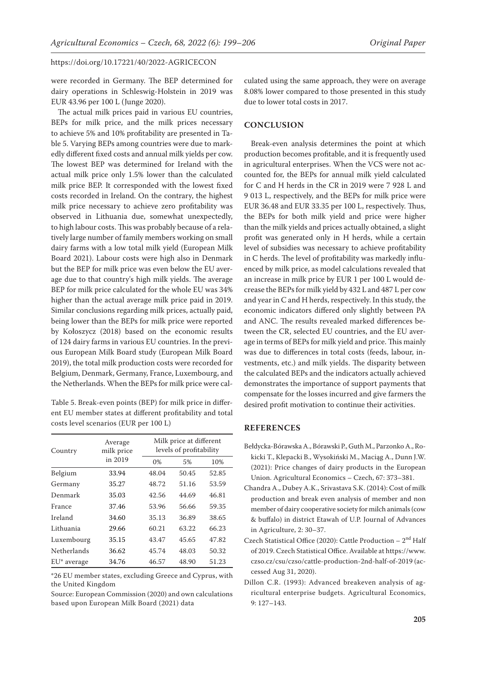were recorded in Germany. The BEP determined for dairy operations in Schleswig-Holstein in 2019 was EUR 43.96 per 100 L (Junge 2020).

The actual milk prices paid in various EU countries, BEPs for milk price, and the milk prices necessary to achieve 5% and 10% profitability are presented in Table 5. Varying BEPs among countries were due to markedly different fixed costs and annual milk yields per cow. The lowest BEP was determined for Ireland with the actual milk price only 1.5% lower than the calculated milk price BEP. It corresponded with the lowest fixed costs recorded in Ireland. On the contrary, the highest milk price necessary to achieve zero profitability was observed in Lithuania due, somewhat unexpectedly, to high labour costs. This was probably because of a relatively large number of family members working on small dairy farms with a low total milk yield (European Milk Board 2021). Labour costs were high also in Denmark but the BEP for milk price was even below the EU average due to that country's high milk yields. The average BEP for milk price calculated for the whole EU was 34% higher than the actual average milk price paid in 2019. Similar conclusions regarding milk prices, actually paid, being lower than the BEPs for milk price were reported by Kołoszycz (2018) based on the economic results of 124 dairy farms in various EU countries. In the previous European Milk Board study (European Milk Board 2019), the total milk production costs were recorded for Belgium, Denmark, Germany, France, Luxembourg, and the Netherlands. When the BEPs for milk price were cal-

Table 5. Break-even points (BEP) for milk price in different EU member states at different profitability and total costs level scenarios (EUR per 100 L)

| Country                 | Average<br>milk price | Milk price at different<br>levels of profitability |       |       |  |  |
|-------------------------|-----------------------|----------------------------------------------------|-------|-------|--|--|
|                         | in 2019               | 0%                                                 | 5%    | 10%   |  |  |
| Belgium                 | 33.94                 | 48.04                                              | 50.45 | 52.85 |  |  |
| Germany                 | 35.27                 | 48.72                                              | 51.16 | 53.59 |  |  |
| Denmark                 | 35.03                 | 42.56                                              | 44.69 | 46.81 |  |  |
| France                  | 37.46                 | 53.96                                              | 56.66 | 59.35 |  |  |
| Ireland                 | 34.60                 | 35.13                                              | 36.89 | 38.65 |  |  |
| Lithuania               | 29.66                 | 60.21                                              | 63.22 | 66.23 |  |  |
| Luxembourg              | 35.15                 | 43.47                                              | 45.65 | 47.82 |  |  |
| <b>Netherlands</b>      | 36.62                 | 45.74                                              | 48.03 | 50.32 |  |  |
| EU <sup>*</sup> average | 34.76                 | 46.57                                              | 48.90 | 51.23 |  |  |

\*26 EU member states, excluding Greece and Cyprus, with the United Kingdom

Source: European Commission (2020) and own calculations based upon European Milk Board (2021) data

culated using the same approach, they were on average 8.08% lower compared to those presented in this study due to lower total costs in 2017.

## **CONCLUSION**

Break-even analysis determines the point at which production becomes profitable, and it is frequently used in agricultural enterprises. When the VCS were not accounted for, the BEPs for annual milk yield calculated for C and H herds in the CR in 2019 were 7 928 L and 9 013 L, respectively, and the BEPs for milk price were EUR 36.48 and EUR 33.35 per 100 L, respectively. Thus, the BEPs for both milk yield and price were higher than the milk yields and prices actually obtained, a slight profit was generated only in H herds, while a certain level of subsidies was necessary to achieve profitability in C herds. The level of profitability was markedly influenced by milk price, as model calculations revealed that an increase in milk price by EUR 1 per 100 L would decrease the BEPs for milk yield by 432 L and 487 L per cow and year in C and H herds, respectively. In this study, the economic indicators differed only slightly between PA and ANC. The results revealed marked differences between the CR, selected EU countries, and the EU average in terms of BEPs for milk yield and price. This mainly was due to differences in total costs (feeds, labour, investments, etc.) and milk yields. The disparity between the calculated BEPs and the indicators actually achieved demonstrates the importance of support payments that compensate for the losses incurred and give farmers the desired profit motivation to continue their activities.

# **REFERENCES**

- Bełdycka-Bórawska A., Bórawski P., Guth M., Parzonko A., Rokicki T., Klepacki B., Wysokiński M., Maciąg A., Dunn J.W. (2021): Price changes of dairy products in the European Union. Agricultural Economics – Czech, 67: 373–381.
- Chandra A., Dubey A.K., Srivastava S.K. (2014): Cost of milk production and break even analysis of member and non member of dairy cooperative society for milch animals (cow & buffalo) in district Etawah of U.P. Journal of Advances in Agriculture, 2: 30–37.
- Czech Statistical Office (2020): Cattle Production 2nd Half of 2019. Czech Statistical Office. Available at https://www. czso.cz/csu/czso/cattle-production-2nd-half-of-2019 (accessed Aug 31, 2020).
- Dillon C.R. (1993): Advanced breakeven analysis of agricultural enterprise budgets. Agricultural Economics, 9: 127–143.